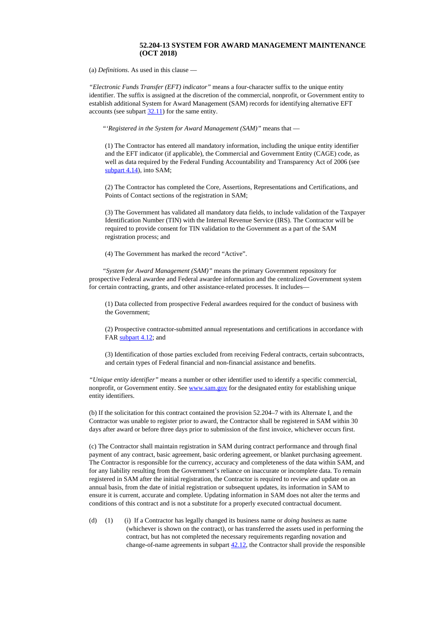## **52.204-13 SYSTEM FOR AWARD MANAGEMENT MAINTENANCE (OCT 2018)**

(a) *Definitions*. As used in this clause —

*"Electronic Funds Transfer (EFT) indicator"* means a four-character suffix to the unique entity identifier. The suffix is assigned at the discretion of the commercial, nonprofit, or Government entity to establish additional System for Award Management (SAM) records for identifying alternative EFT accounts (see subpart [32.11](https://www.acquisition.gov/sites/default/files/current/far/html/Subpart%2032_11.html#wp1043964)) for the same entity.

*"'Registered in the System for Award Management (SAM)"* means that —

(1) The Contractor has entered all mandatory information, including the unique entity identifier and the EFT indicator (if applicable), the Commercial and Government Entity (CAGE) code, as well as data required by the Federal Funding Accountability and Transparency Act of 2006 (see [subpart](https://www.acquisition.gov/sites/default/files/current/far/html/Subpart%204_14.html#wp1075239) 4.14), into SAM;

(2) The Contractor has completed the Core, Assertions, Representations and Certifications, and Points of Contact sections of the registration in SAM;

(3) The Government has validated all mandatory data fields, to include validation of the Taxpayer Identification Number (TIN) with the Internal Revenue Service (IRS). The Contractor will be required to provide consent for TIN validation to the Government as a part of the SAM registration process; and

(4) The Government has marked the record "Active".

*"System for Award Management (SAM)"* means the primary Government repository for prospective Federal awardee and Federal awardee information and the centralized Government system for certain contracting, grants, and other assistance-related processes. It includes—

(1) Data collected from prospective Federal awardees required for the conduct of business with the Government;

(2) Prospective contractor-submitted annual representations and certifications in accordance with FAR [subpart](https://www.acquisition.gov/sites/default/files/current/far/html/Subpart%204_12.html#wp1073662) 4.12; and

(3) Identification of those parties excluded from receiving Federal contracts, certain subcontracts, and certain types of Federal financial and non-financial assistance and benefits.

*"Unique entity identifier"* means a number or other identifier used to identify a specific commercial, nonprofit, or Government entity. See [www.sam.gov](https://www.acquisition.gov/sites/default/files/current/far/html/www.sam.gov) for the designated entity for establishing unique entity identifiers.

(b) If the solicitation for this contract contained the provision 52.204–7 with its Alternate I, and the Contractor was unable to register prior to award, the Contractor shall be registered in SAM within 30 days after award or before three days prior to submission of the first invoice, whichever occurs first.

(c) The Contractor shall maintain registration in SAM during contract performance and through final payment of any contract, basic agreement, basic ordering agreement, or blanket purchasing agreement. The Contractor is responsible for the currency, accuracy and completeness of the data within SAM, and for any liability resulting from the Government's reliance on inaccurate or incomplete data. To remain registered in SAM after the initial registration, the Contractor is required to review and update on an annual basis, from the date of initial registration or subsequent updates, its information in SAM to ensure it is current, accurate and complete. Updating information in SAM does not alter the terms and conditions of this contract and is not a substitute for a properly executed contractual document.

(d) (1) (i) If a Contractor has legally changed its business name or *doing business* as name (whichever is shown on the contract), or has transferred the assets used in performing the contract, but has not completed the necessary requirements regarding novation and change-of-name agreements in subpart  $42.12$ , the Contractor shall provide the responsible